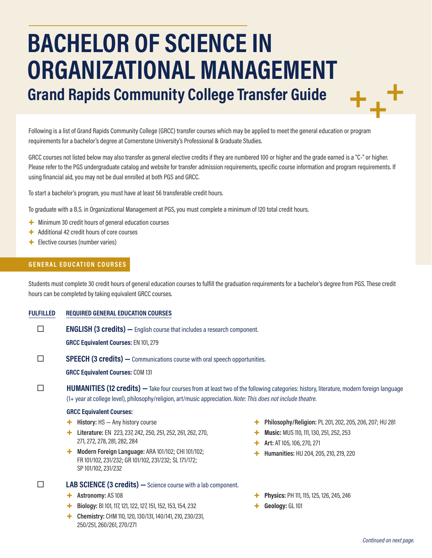# **BACHELOR OF SCIENCE IN ORGANIZATIONAL MANAGEMENT Grand Rapids Community College Transfer Guide**

Following is a list of Grand Rapids Community College (GRCC) transfer courses which may be applied to meet the general education or program requirements for a bachelor's degree at Cornerstone University's Professional & Graduate Studies.

GRCC courses not listed below may also transfer as general elective credits if they are numbered 100 or higher and the grade earned is a "C-" or higher. Please refer to the PGS undergraduate catalog and website for transfer admission requirements, specific course information and program requirements. If using financial aid, you may not be dual enrolled at both PGS and GRCC.

To start a bachelor's program, you must have at least 56 transferable credit hours.

To graduate with a B.S. in Organizational Management at PGS, you must complete a minimum of 120 total credit hours.

- + Minimum 30 credit hours of general education courses
- + Additional 42 credit hours of core courses
- + Elective courses (number varies)

#### **GENERAL EDUCATION COURSES**

Students must complete 30 credit hours of general education courses to fulfill the graduation requirements for a bachelor's degree from PGS. These credit hours can be completed by taking equivalent GRCC courses.

#### **FULFILLED REQUIRED GENERAL EDUCATION COURSES**

**ENGLISH (3 credits)** — English course that includes a research component.

**GRCC Equivalent Courses:** EN 101, 279

**SPEECH (3 credits)** — Communications course with oral speech opportunities.

**GRCC Equivalent Courses:** COM 131

### **HUMANITIES (12 credits)** — Take four courses from at least two of the following categories: history, literature, modern foreign language (1+ year at college level), philosophy/religion, art/music appreciation. *Note: This does not include theatre.*

#### **GRCC Equivalent Courses:**

- + **History:** HS Any history course
- + **Literature:** EN 223, 237, 242, 250, 251, 252, 261, 262, 270, 271, 272, 278, 281, 282, 284
- + **Modern Foreign Language:** ARA 101/102; CHI 101/102; FR 101/102, 231/232; GR 101/102, 231/232; SL 171/172; SP 101/102, 231/232

#### **LAB SCIENCE (3 credits) —**Science course with a lab component.

- + **Astronomy:** AS 108
- + **Biology:** BI 101, 117, 121, 122, 127, 151, 152, 153, 154, 232
- + **Chemistry:** CHM 110, 120, 130/131, 140/141, 210, 230/231, 250/251, 260/261, 270/271
- + **Philosophy/Religion:** PL 201, 202, 205, 206, 207; HU 281
- **Music: MUS 110, 111, 130, 251, 252, 253**
- + **Art:** AT 105, 106, 270, 271
- + **Humanities:** HU 204, 205, 210, 219, 220
- + **Physics:** PH 111, 115, 125, 126, 245, 246
- + **Geology:** GL 101